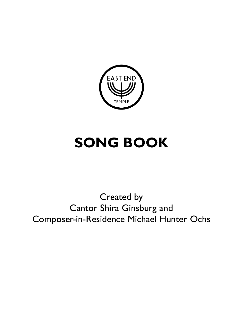

# **SONG BOOK**

# Created by Cantor Shira Ginsburg and Composer-in-Residence Michael Hunter Ochs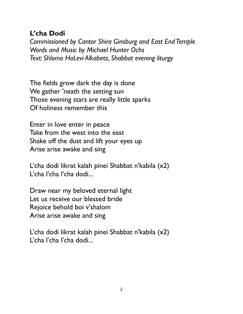## **L'cha Dodi**

*Commissioned by Cantor Shira Ginsburg and East End Temple Words and Music by Michael Hunter Ochs Text: Shlomo HaLevi Alkabetz, Shabbat evening liturgy*

The fields grow dark the day is done We gather 'neath the setting sun Those evening stars are really little sparks Of holiness remember this

Enter in love enter in peace Take from the west into the east Shake off the dust and lift your eyes up Arise arise awake and sing

L'cha dodi likrat kalah pinei Shabbat n'kabila (x2) L'cha l'cha l'cha dodi...

Draw near my beloved eternal light Let us receive our blessed bride Rejoice behold boi v'shalom Arise arise awake and sing

L'cha dodi likrat kalah pinei Shabbat n'kabila (x2) L'cha l'cha l'cha dodi...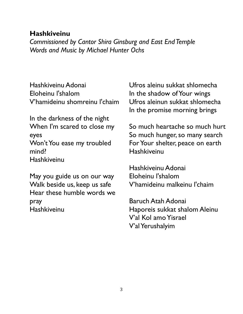#### **Hashkiveinu**

*Commissioned by Cantor Shira Ginsburg and East End Temple Words and Music by Michael Hunter Ochs*

Hashkiveinu Adonai Eloheinu l'shalom V'hamideinu shomreinu l'chaim

In the darkness of the night When I'm scared to close my eyes Won't You ease my troubled mind? Hashkiveinu

May you guide us on our way Walk beside us, keep us safe Hear these humble words we pray Hashkiveinu

Ufros aleinu sukkat shlomecha In the shadow of Your wings Ufros aleinun sukkat shlomecha In the promise morning brings

So much heartache so much hurt So much hunger, so many search For Your shelter, peace on earth Hashkiveinu

Hashkiveinu Adonai Eloheinu l'shalom V'hamideinu malkeinu l'chaim

Baruch Atah Adonai Haporeis sukkat shalom Aleinu V'al Kol amo Yisrael V'al Yerushalyim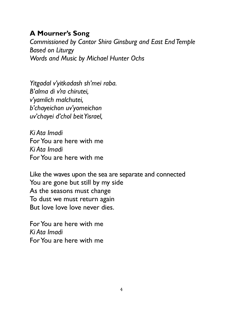## **A Mourner's Song**

*Commissioned by Cantor Shira Ginsburg and East End Temple Based on Liturgy Words and Music by Michael Hunter Ochs*

*Yitgadal v'yitkadash sh'mei raba. B'alma di v'ra chirutei, v'yamlich malchutei, b'chayeichon uv'yomeichon uv'chayei d'chol beit Yisrael,*

*Ki Ata Imadi* For You are here with me *Ki Ata Imadi* For You are here with me

Like the waves upon the sea are separate and connected You are gone but still by my side As the seasons must change To dust we must return again But love love love never dies.

For You are here with me *Ki Ata Imadi* For You are here with me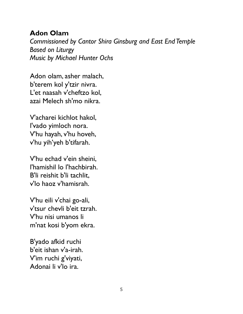#### **Adon Olam**

*Commissioned by Cantor Shira Ginsburg and East End Temple Based on Liturgy Music by Michael Hunter Ochs*

Adon olam, asher malach, b'terem kol y'tzir nivra. L'et naasah v'cheftzo kol, azai Melech sh'mo nikra.

V'acharei kichlot hakol, l'vado yimloch nora. V'hu hayah, v'hu hoveh, v'hu yih'yeh b'tifarah.

V'hu echad v'ein sheini, l'hamishil lo l'hachbirah. B'li reishit b'li tachlit, v'lo haoz v'hamisrah.

V'hu eili v'chai go-ali, v'tsur chevli b'eit tzrah. V'hu nisi umanos li m'nat kosi b'yom ekra.

B'yado afkid ruchi b'eit ishan v'a-irah. V'im ruchi g'viyati, Adonai li v'lo ira.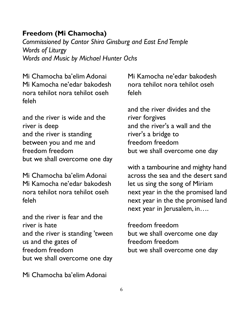#### **Freedom (Mi Chamocha)**

*Commissioned by Cantor Shira Ginsburg and East End Temple Words of Liturgy Words and Music by Michael Hunter Ochs*

Mi Chamocha ba'elim Adonai Mi Kamocha ne'edar bakodesh nora tehilot nora tehilot oseh feleh

and the river is wide and the river is deep and the river is standing between you and me and freedom freedom but we shall overcome one day

Mi Chamocha ba'elim Adonai Mi Kamocha ne'edar bakodesh nora tehilot nora tehilot oseh feleh

and the river is fear and the river is hate and the river is standing 'tween us and the gates of freedom freedom but we shall overcome one day

Mi Chamocha ba'elim Adonai

Mi Kamocha ne'edar bakodesh nora tehilot nora tehilot oseh feleh

and the river divides and the river forgives and the river's a wall and the river's a bridge to freedom freedom but we shall overcome one day

with a tambourine and mighty hand across the sea and the desert sand let us sing the song of Miriam next year in the the promised land next year in the the promised land next year in Jerusalem, in….

freedom freedom but we shall overcome one day freedom freedom but we shall overcome one day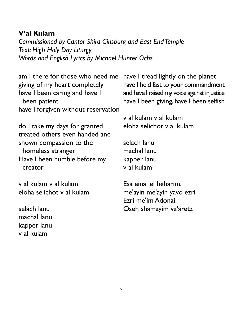#### **V'al Kulam**

*Commissioned by Cantor Shira Ginsburg and East End Temple Text: High Holy Day Liturgy Words and English Lyrics by Michael Hunter Ochs*

am I there for those who need me giving of my heart completely have I been caring and have I been patient have I forgiven without reservation

have I tread lightly on the planet have I held fast to your commandment and have I raised my voice against injustice have I been giving, have I been selfish

do I take my days for granted treated others even handed and shown compassion to the homeless stranger Have I been humble before my creator

v al kulam v al kulam eloha selichot v al kulam

selach lanu machal lanu kapper lanu v al kulam

v al kulam v al kulam eloha selichot v al kulam

selach lanu machal lanu kapper lanu v al kulam

Esa einai el heharim, me'ayin me'ayin yavo ezri Ezri me'im Adonai Oseh shamayim va'aretz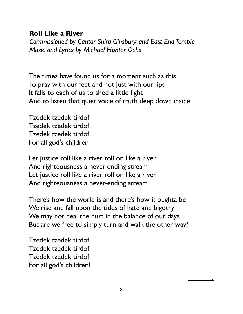#### **Roll Like a River**

*Commissioned by Cantor Shira Ginsburg and East End Temple Music and Lyrics by Michael Hunter Ochs*

The times have found us for a moment such as this To pray with our feet and not just with our lips It falls to each of us to shed a little light And to listen that quiet voice of truth deep down inside

Tzedek tzedek tirdof Tzedek tzedek tirdof Tzedek tzedek tirdof For all god's children

Let justice roll like a river roll on like a river And righteousness a never-ending stream Let justice roll like a river roll on like a river And righteousness a never-ending stream

There's how the world is and there's how it oughta be We rise and fall upon the tides of hate and bigotry We may not heal the hurt in the balance of our days But are we free to simply turn and walk the other way?

Tzedek tzedek tirdof Tzedek tzedek tirdof Tzedek tzedek tirdof For all god's children!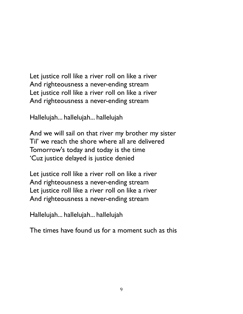Let justice roll like a river roll on like a river And righteousness a never-ending stream Let justice roll like a river roll on like a river And righteousness a never-ending stream

Hallelujah... hallelujah... hallelujah

And we will sail on that river my brother my sister Til' we reach the shore where all are delivered Tomorrow's today and today is the time 'Cuz justice delayed is justice denied

Let justice roll like a river roll on like a river And righteousness a never-ending stream Let justice roll like a river roll on like a river And righteousness a never-ending stream

Hallelujah... hallelujah... hallelujah

The times have found us for a moment such as this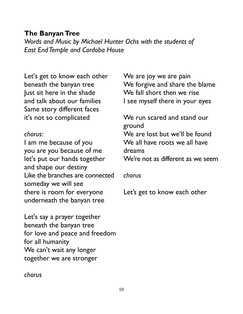#### **The Banyan Tree**

*Words and Music by Michael Hunter Ochs with the students of East End Temple and Cordoba House*

Let's get to know each other beneath the banyan tree Just sit here in the shade and talk about our families Same story different faces it's not so complicated

#### *chorus:*

I am me because of you you are you because of me let's put our hands together and shape our destiny Like the branches are connected someday we will see there is room for everyone underneath the banyan tree

Let's say a prayer together beneath the banyan tree for love and peace and freedom for all humanity We can't wait any longer together we are stronger

We are joy we are pain We forgive and share the blame We fall short then we rise I see myself there in your eyes

We run scared and stand our ground We are lost but we'll be found We all have roots we all have dreams We're not as different as we seem

#### *chorus*

Let's get to know each other

*chorus*